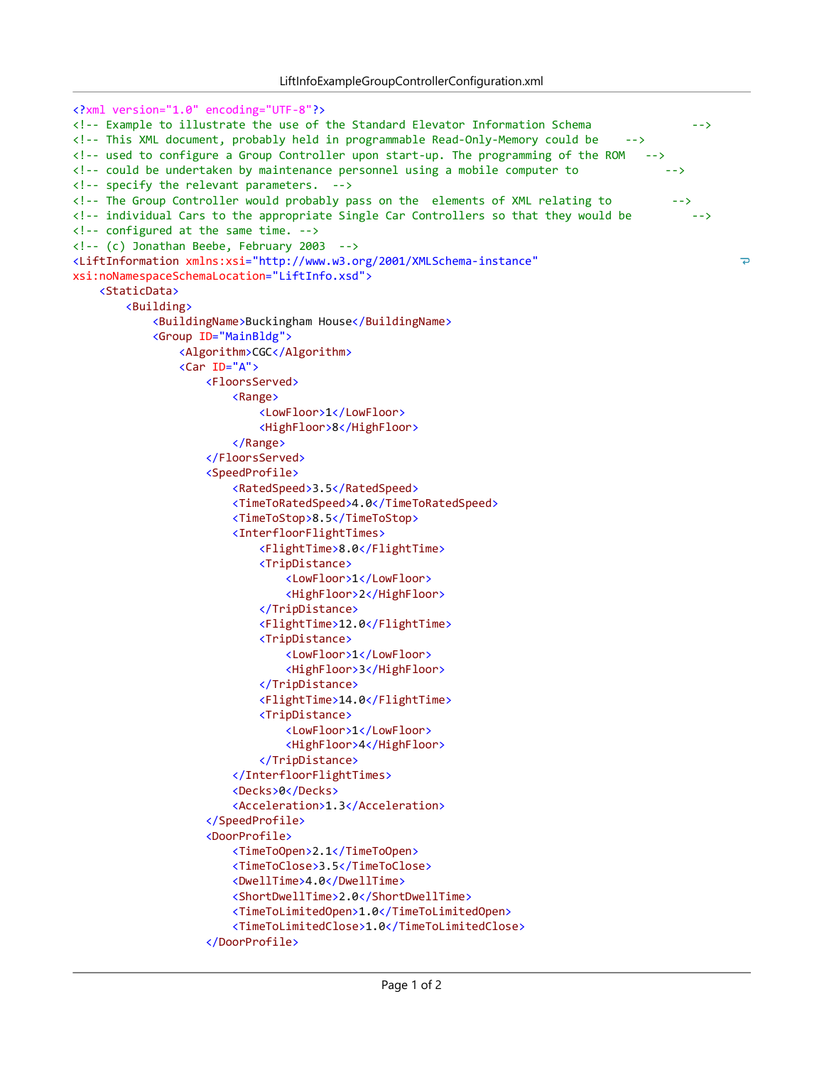```
<?xml version="1.0" encoding="UTF-8"?>
<! Example to illustrate the use of the Standard Elevator Information Schema               >
<!-- This XML document, probably held in programmable Read-Only-Memory could be -->
\langle!-- used to configure a Group Controller upon start-up. The programming of the ROM \rightarrow<! could be undertaken by maintenance personnel using a mobile computer to             >
\langle !-- specify the relevant parameters. -->
<!-- The Group Controller would probably pass on the elements of XML relating to -->
<!-- individual Cars to the appropriate Single Car Controllers so that they would be \longrightarrow\langle!-- configured at the same time. -->
\langle!-- (c) Jonathan Beebe, February 2003 -->
<LiftInformation xmlns:xsi="http://www.w3.org/2001/XMLSchema-instance"
                                                                                                        \overline{\phantom{a}}xsi:noNamespaceSchemaLocation="LiftInfo.xsd">
    <StaticData>
        <Building>
            <BuildingName>Buckingham House</BuildingName>
            <Group ID="MainBldg">
                <Algorithm>CGC</Algorithm>
                <Car ID="A">
                    <FloorsServed>
                         <Range>
                             <LowFloor>1</LowFloor>
                             <HighFloor>8</HighFloor>
                         </Range>
                    </FloorsServed>
                    <SpeedProfile>
                         <RatedSpeed>3.5</RatedSpeed>
                         <TimeToRatedSpeed>4.0</TimeToRatedSpeed>
                         <TimeToStop>8.5</TimeToStop>
                         <InterfloorFlightTimes>
                             <FlightTime>8.0</FlightTime>
                             <TripDistance>
                                 <LowFloor>1</LowFloor>
                                 <HighFloor>2</HighFloor>
                             </TripDistance>
                             <FlightTime>12.0</FlightTime>
                            <TripDistance>
                                 <LowFloor>1</LowFloor>
                                 <HighFloor>3</HighFloor>
                             </TripDistance>
                            <FlightTime>14.0</FlightTime>
                             <TripDistance>
                                 <LowFloor>1</LowFloor>
                                 <HighFloor>4</HighFloor>
                             </TripDistance>
                         </InterfloorFlightTimes>
                         <Decks>0</Decks>
                         <Acceleration>1.3</Acceleration>
                    </SpeedProfile>
                    <DoorProfile>
                         <TimeToOpen>2.1</TimeToOpen>
                         <TimeToClose>3.5</TimeToClose>
                         <DwellTime>4.0</DwellTime>
                         <ShortDwellTime>2.0</ShortDwellTime>
                         <TimeToLimitedOpen>1.0</TimeToLimitedOpen>
                         <TimeToLimitedClose>1.0</TimeToLimitedClose>
                    </DoorProfile>
```